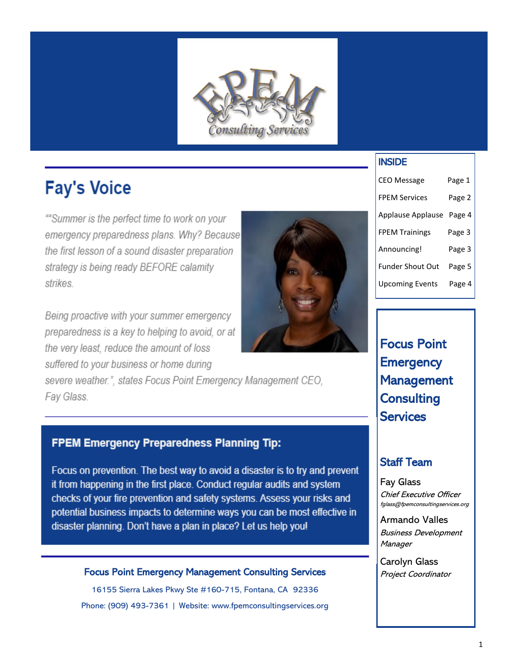

# **Fay's Voice**

""Summer is the perfect time to work on your emergency preparedness plans. Why? Because the first lesson of a sound disaster preparation strategy is being ready BEFORE calamity strikes.

Being proactive with your summer emergency preparedness is a key to helping to avoid, or at the very least, reduce the amount of loss suffered to your business or home during

severe weather.", states Focus Point Emergency Management CEO, Fay Glass.

## **FPEM Emergency Preparedness Planning Tip:**

Focus on prevention. The best way to avoid a disaster is to try and prevent it from happening in the first place. Conduct regular audits and system checks of your fire prevention and safety systems. Assess your risks and potential business impacts to determine ways you can be most effective in disaster planning. Don't have a plan in place? Let us help you!

### Focus Point Emergency Management Consulting Services

16155 Sierra Lakes Pkwy Ste #160-715, Fontana, CA 92336 Phone: (909) 493-7361 | Website: www.fpemconsultingservices.org

## INSIDE

| <b>CEO Message</b>      | Page 1 |
|-------------------------|--------|
| <b>FPEM Services</b>    | Page 2 |
| Applause Applause       | Page 4 |
| <b>FPEM Trainings</b>   | Page 3 |
| Announcing!             | Page 3 |
| <b>Funder Shout Out</b> | Page 5 |
| <b>Upcoming Events</b>  | Page 4 |

Focus Point **Emergency** Management **Consulting Services** 

## Staff Team

Fay Glass Chief Executive Officer fglass@fpemconsultingservices.org

Armando Valles Business Development **Manager** 

Carolyn Glass Project Coordinator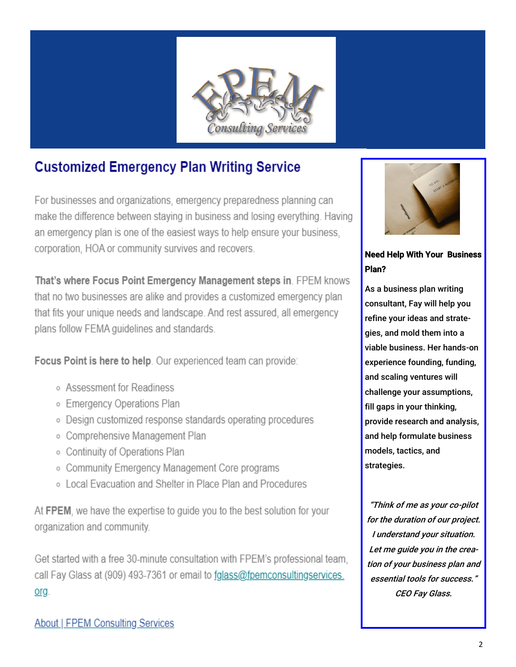

## **Customized Emergency Plan Writing Service**

For businesses and organizations, emergency preparedness planning can make the difference between staying in business and losing everything. Having an emergency plan is one of the easiest ways to help ensure your business. corporation. HOA or community survives and recovers.

That's where Focus Point Emergency Management steps in. FPEM knows that no two businesses are alike and provides a customized emergency plan that fits your unique needs and landscape. And rest assured, all emergency plans follow FEMA quidelines and standards.

Focus Point is here to help. Our experienced team can provide:

- o Assessment for Readiness
- **Emergency Operations Plan**
- Design customized response standards operating procedures
- o Comprehensive Management Plan
- Continuity of Operations Plan
- Community Emergency Management Core programs
- o Local Evacuation and Shelter in Place Plan and Procedures

At FPEM, we have the expertise to quide you to the best solution for your organization and community.

Get started with a free 30-minute consultation with FPEM's professional team, call Fay Glass at (909) 493-7361 or email to folass@fpemconsultingservices. org.



**Need Help With Your Business** Plan?

As a business plan writing consultant, Fay will help you refine your ideas and strategies, and mold them into a viable business. Her hands-on experience founding, funding, and scaling ventures will challenge your assumptions, fill gaps in your thinking, provide research and analysis, and help formulate business models, tactics, and strategies.

"Think of me as your co-pilot for the duration of our project. I understand your situation. Let me guide you in the creation of your business plan and essential tools for success." **CEO Fay Glass.**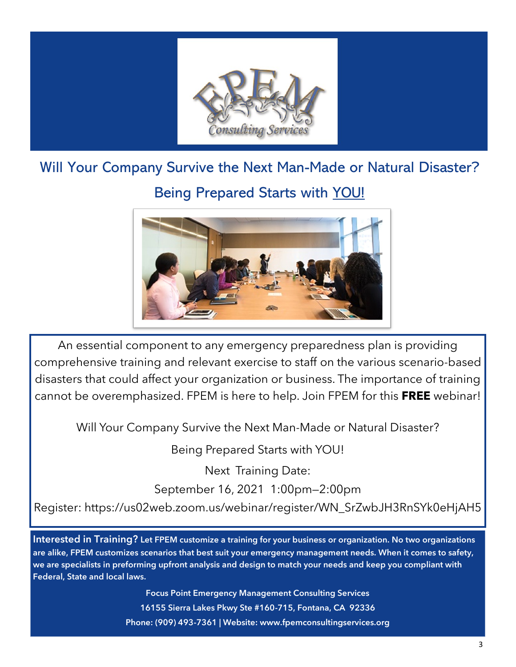

# Will Your Company Survive the Next Man-Made or Natural Disaster?

## Being Prepared Starts with YOU!



An essential component to any emergency preparedness plan is providing comprehensive training and relevant exercise to staff on the various scenario-based disasters that could affect your organization or business. The importance of training cannot be overemphasized. FPEM is here to help. Join FPEM for this **FREE** webinar!

Will Your Company Survive the Next Man-Made or Natural Disaster?

Being Prepared Starts with YOU!

Next Training Date: September 16, 2021 1:00pm—2:00pm

Register: https://us02web.zoom.us/webinar/register/WN\_SrZwbJH3RnSYk0eHjAH5

**Interested in Training? Let FPEM customize a training for your business or organization. No two organizations are alike, FPEM customizes scenarios that best suit your emergency management needs. When it comes to safety, we are specialists in preforming upfront analysis and design to match your needs and keep you compliant with Federal, State and local laws.**

> **Focus Point Emergency Management Consulting Services 16155 Sierra Lakes Pkwy Ste #160-715, Fontana, CA 92336 Phone: (909) 493-7361 | Website: www.fpemconsultingservices.org**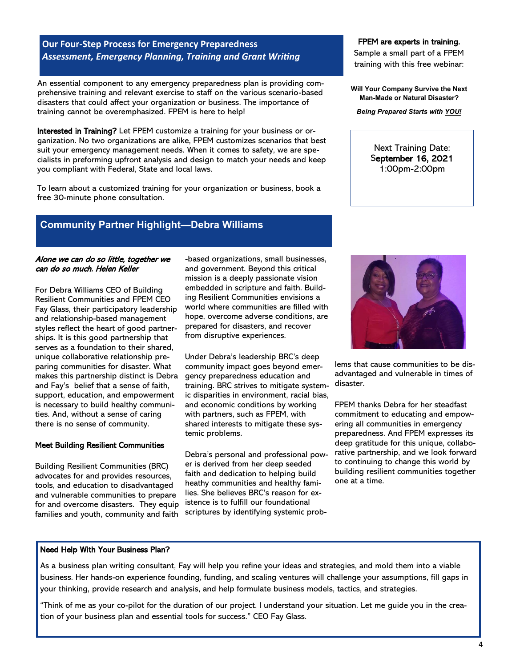## **Our Four-Step Process for Emergency Preparedness** *Assessment, Emergency Planning, Training and Grant Writing*

An essential component to any emergency preparedness plan is providing comprehensive training and relevant exercise to staff on the various scenario-based disasters that could affect your organization or business. The importance of training cannot be overemphasized. FPEM is here to help!

Interested in Training? Let FPEM customize a training for your business or organization. No two organizations are alike, FPEM customizes scenarios that best suit your emergency management needs. When it comes to safety, we are specialists in preforming upfront analysis and design to match your needs and keep you compliant with Federal, State and local laws.

To learn about a customized training for your organization or business, book a free 30-minute phone consultation.

## **Community Partner Highlight—Debra Williams**

#### Alone we can do so little, together we can do so much. Helen Keller

For Debra Williams CEO of Building Resilient Communities and FPEM CEO Fay Glass, their participatory leadership and relationship-based management styles reflect the heart of good partnerships. It is this good partnership that serves as a foundation to their shared, unique collaborative relationship preparing communities for disaster. What makes this partnership distinct is Debra and Fay's belief that a sense of faith, support, education, and empowerment is necessary to build healthy communities. And, without a sense of caring there is no sense of community.

#### Meet Building Resilient Communities

Building Resilient Communities (BRC) advocates for and provides resources, tools, and education to disadvantaged and vulnerable communities to prepare for and overcome disasters. They equip families and youth, community and faith -based organizations, small businesses, and government. Beyond this critical mission is a deeply passionate vision embedded in scripture and faith. Building Resilient Communities envisions a world where communities are filled with hope, overcome adverse conditions, are prepared for disasters, and recover from disruptive experiences.

Under Debra's leadership BRC's deep community impact goes beyond emergency preparedness education and training. BRC strives to mitigate systemic disparities in environment, racial bias, and economic conditions by working with partners, such as FPEM, with shared interests to mitigate these systemic problems.

Debra's personal and professional power is derived from her deep seeded faith and dedication to helping build heathy communities and healthy families. She believes BRC's reason for existence is to fulfill our foundational scriptures by identifying systemic prob-

#### FPEM are experts in training.

Sample a small part of a FPEM training with this free webinar:

**Will Your Company Survive the Next Man-Made or Natural Disaster?**

*Being Prepared Starts with YOU!*

Next Training Date: September 16, 2021 1:00pm-2:00pm



lems that cause communities to be disadvantaged and vulnerable in times of disaster.

FPEM thanks Debra for her steadfast commitment to educating and empowering all communities in emergency preparedness. And FPEM expresses its deep gratitude for this unique, collaborative partnership, and we look forward to continuing to change this world by building resilient communities together one at a time.

#### Need Help With Your Business Plan?

As a business plan writing consultant, Fay will help you refine your ideas and strategies, and mold them into a viable business. Her hands-on experience founding, funding, and scaling ventures will challenge your assumptions, fill gaps in your thinking, provide research and analysis, and help formulate business models, tactics, and strategies.

"Think of me as your co-pilot for the duration of our project. I understand your situation. Let me guide you in the creation of your business plan and essential tools for success." CEO Fay Glass.